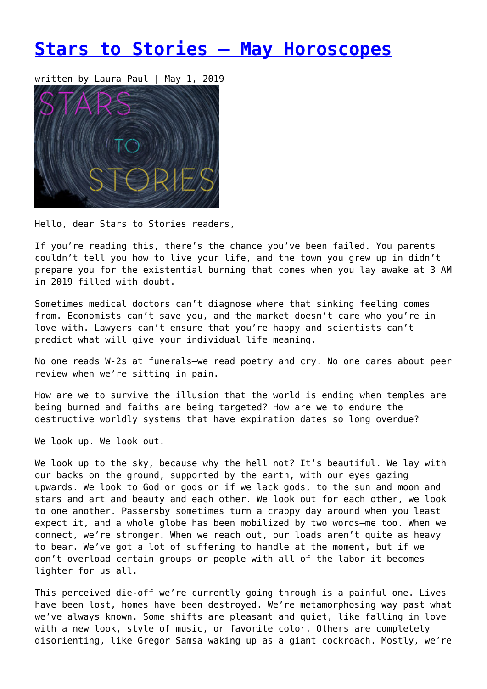# **[Stars to Stories – May Horoscopes](https://entropymag.org/stars-to-stories-may-horoscopes/)**

written by Laura Paul | May 1, 2019



Hello, dear Stars to Stories readers,

If you're reading this, there's the chance you've been failed. You parents couldn't tell you how to live your life, and the town you grew up in didn't prepare you for the existential burning that comes when you lay awake at 3 AM in 2019 filled with doubt.

Sometimes medical doctors can't diagnose where that sinking feeling comes from. Economists can't save you, and the market doesn't care who you're in love with. Lawyers can't ensure that you're happy and scientists can't predict what will give your individual life meaning.

No one reads W-2s at funerals—we read poetry and cry. No one cares about peer review when we're sitting in pain.

How are we to survive the illusion that the world is ending when temples are being burned and faiths are being targeted? How are we to endure the destructive worldly systems that have expiration dates so long overdue?

We look up. We look out.

We look up to the sky, because why the hell not? It's beautiful. We lay with our backs on the ground, supported by the earth, with our eyes gazing upwards. We look to God or gods or if we lack gods, to the sun and moon and stars and art and beauty and each other. We look out for each other, we look to one another. Passersby sometimes turn a crappy day around when you least expect it, and a whole globe has been mobilized by two words—me too. When we connect, we're stronger. When we reach out, our loads aren't quite as heavy to bear. We've got a lot of suffering to handle at the moment, but if we don't overload certain groups or people with all of the labor it becomes lighter for us all.

This perceived die-off we're currently going through is a painful one. Lives have been lost, homes have been destroyed. We're metamorphosing way past what we've always known. Some shifts are pleasant and quiet, like falling in love with a new look, style of music, or favorite color. Others are completely disorienting, like Gregor Samsa waking up as a giant cockroach. Mostly, we're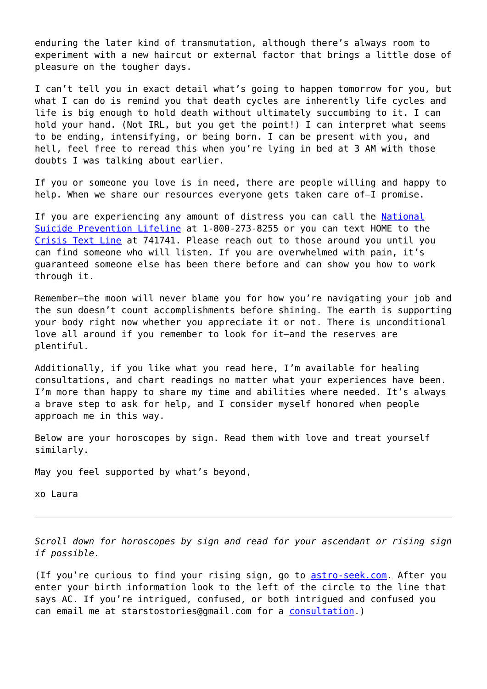enduring the later kind of transmutation, although there's always room to experiment with a new haircut or external factor that brings a little dose of pleasure on the tougher days.

I can't tell you in exact detail what's going to happen tomorrow for you, but what I can do is remind you that death cycles are inherently life cycles and life is big enough to hold death without ultimately succumbing to it. I can hold your hand. (Not IRL, but you get the point!) I can interpret what seems to be ending, intensifying, or being born. I can be present with you, and hell, feel free to reread this when you're lying in bed at 3 AM with those doubts I was talking about earlier.

If you or someone you love is in need, there are people willing and happy to help. When we share our resources everyone gets taken care of-I promise.

If you are experiencing any amount of distress you can call the [National](https://suicidepreventionlifeline.org/) [Suicide Prevention Lifeline](https://suicidepreventionlifeline.org/) at 1-800-273-8255 or you can text HOME to the [Crisis Text Line](https://www.crisistextline.org/) at 741741. Please reach out to those around you until you can find someone who will listen. If you are overwhelmed with pain, it's guaranteed someone else has been there before and can show you how to work through it.

Remember—the moon will never blame you for how you're navigating your job and the sun doesn't count accomplishments before shining. The earth is supporting your body right now whether you appreciate it or not. There is unconditional love all around if you remember to look for it—and the reserves are plentiful.

Additionally, if you like what you read here, I'm available for healing consultations, and chart readings no matter what your experiences have been. I'm more than happy to share my time and abilities where needed. It's always a brave step to ask for help, and I consider myself honored when people approach me in this way.

Below are your horoscopes by sign. Read them with love and treat yourself similarly.

May you feel supported by what's beyond,

xo Laura

*Scroll down for horoscopes by sign and read for your ascendant or rising sign if possible.*

(If you're curious to find your rising sign, go to [astro-seek.com.](https://entropymag.org/astro-seek.com) After you enter your birth information look to the left of the circle to the line that says AC. If you're intrigued, confused, or both intrigued and confused you can email me at starstostories@gmail.com for a [consultation](https://www.laurapaulwriter.com/consult).)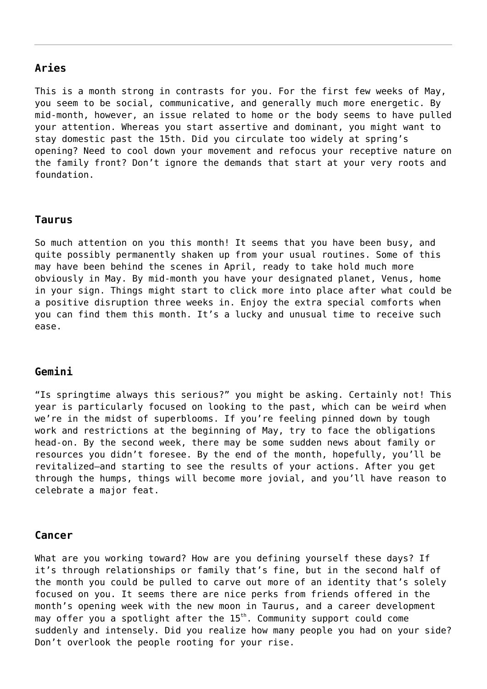## **Aries**

This is a month strong in contrasts for you. For the first few weeks of May, you seem to be social, communicative, and generally much more energetic. By mid-month, however, an issue related to home or the body seems to have pulled your attention. Whereas you start assertive and dominant, you might want to stay domestic past the 15th. Did you circulate too widely at spring's opening? Need to cool down your movement and refocus your receptive nature on the family front? Don't ignore the demands that start at your very roots and foundation.

#### **Taurus**

So much attention on you this month! It seems that you have been busy, and quite possibly permanently shaken up from your usual routines. Some of this may have been behind the scenes in April, ready to take hold much more obviously in May. By mid-month you have your designated planet, Venus, home in your sign. Things might start to click more into place after what could be a positive disruption three weeks in. Enjoy the extra special comforts when you can find them this month. It's a lucky and unusual time to receive such ease.

#### **Gemini**

"Is springtime always this serious?" you might be asking. Certainly not! This year is particularly focused on looking to the past, which can be weird when we're in the midst of superblooms. If you're feeling pinned down by tough work and restrictions at the beginning of May, try to face the obligations head-on. By the second week, there may be some sudden news about family or resources you didn't foresee. By the end of the month, hopefully, you'll be revitalized—and starting to see the results of your actions. After you get through the humps, things will become more jovial, and you'll have reason to celebrate a major feat.

#### **Cancer**

What are you working toward? How are you defining yourself these days? If it's through relationships or family that's fine, but in the second half of the month you could be pulled to carve out more of an identity that's solely focused on you. It seems there are nice perks from friends offered in the month's opening week with the new moon in Taurus, and a career development may offer you a spotlight after the  $15<sup>th</sup>$ . Community support could come suddenly and intensely. Did you realize how many people you had on your side? Don't overlook the people rooting for your rise.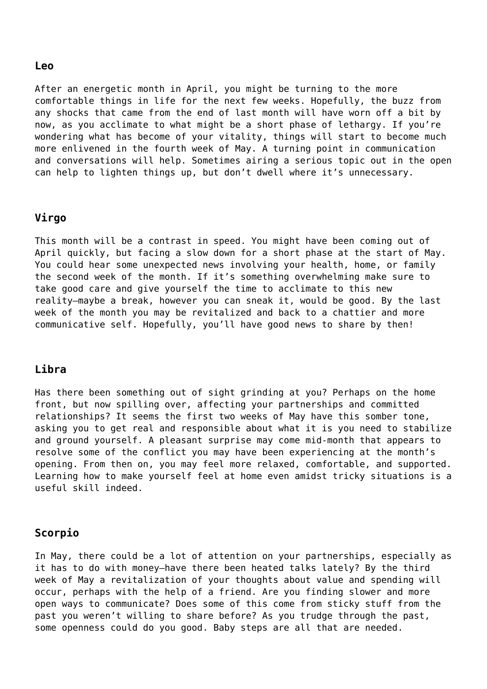#### **Leo**

After an energetic month in April, you might be turning to the more comfortable things in life for the next few weeks. Hopefully, the buzz from any shocks that came from the end of last month will have worn off a bit by now, as you acclimate to what might be a short phase of lethargy. If you're wondering what has become of your vitality, things will start to become much more enlivened in the fourth week of May. A turning point in communication and conversations will help. Sometimes airing a serious topic out in the open can help to lighten things up, but don't dwell where it's unnecessary.

#### **Virgo**

This month will be a contrast in speed. You might have been coming out of April quickly, but facing a slow down for a short phase at the start of May. You could hear some unexpected news involving your health, home, or family the second week of the month. If it's something overwhelming make sure to take good care and give yourself the time to acclimate to this new reality—maybe a break, however you can sneak it, would be good. By the last week of the month you may be revitalized and back to a chattier and more communicative self. Hopefully, you'll have good news to share by then!

#### **Libra**

Has there been something out of sight grinding at you? Perhaps on the home front, but now spilling over, affecting your partnerships and committed relationships? It seems the first two weeks of May have this somber tone, asking you to get real and responsible about what it is you need to stabilize and ground yourself. A pleasant surprise may come mid-month that appears to resolve some of the conflict you may have been experiencing at the month's opening. From then on, you may feel more relaxed, comfortable, and supported. Learning how to make yourself feel at home even amidst tricky situations is a useful skill indeed.

#### **Scorpio**

In May, there could be a lot of attention on your partnerships, especially as it has to do with money—have there been heated talks lately? By the third week of May a revitalization of your thoughts about value and spending will occur, perhaps with the help of a friend. Are you finding slower and more open ways to communicate? Does some of this come from sticky stuff from the past you weren't willing to share before? As you trudge through the past, some openness could do you good. Baby steps are all that are needed.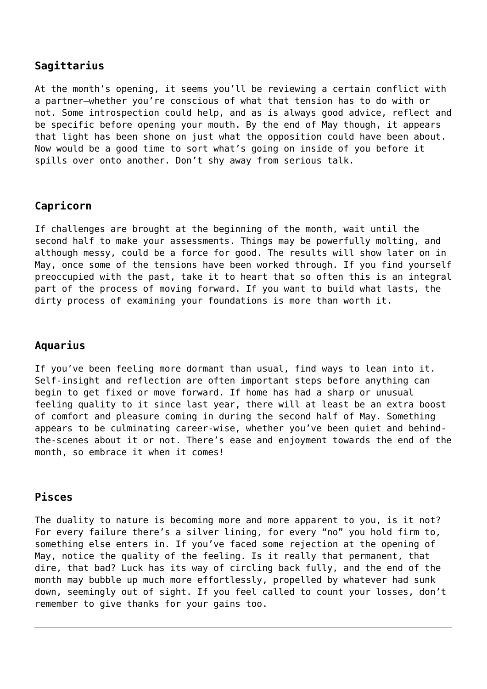## **Sagittarius**

At the month's opening, it seems you'll be reviewing a certain conflict with a partner—whether you're conscious of what that tension has to do with or not. Some introspection could help, and as is always good advice, reflect and be specific before opening your mouth. By the end of May though, it appears that light has been shone on just what the opposition could have been about. Now would be a good time to sort what's going on inside of you before it spills over onto another. Don't shy away from serious talk.

# **Capricorn**

If challenges are brought at the beginning of the month, wait until the second half to make your assessments. Things may be powerfully molting, and although messy, could be a force for good. The results will show later on in May, once some of the tensions have been worked through. If you find yourself preoccupied with the past, take it to heart that so often this is an integral part of the process of moving forward. If you want to build what lasts, the dirty process of examining your foundations is more than worth it.

## **Aquarius**

If you've been feeling more dormant than usual, find ways to lean into it. Self-insight and reflection are often important steps before anything can begin to get fixed or move forward. If home has had a sharp or unusual feeling quality to it since last year, there will at least be an extra boost of comfort and pleasure coming in during the second half of May. Something appears to be culminating career-wise, whether you've been quiet and behindthe-scenes about it or not. There's ease and enjoyment towards the end of the month, so embrace it when it comes!

## **Pisces**

The duality to nature is becoming more and more apparent to you, is it not? For every failure there's a silver lining, for every "no" you hold firm to, something else enters in. If you've faced some rejection at the opening of May, notice the quality of the feeling. Is it really that permanent, that dire, that bad? Luck has its way of circling back fully, and the end of the month may bubble up much more effortlessly, propelled by whatever had sunk down, seemingly out of sight. If you feel called to count your losses, don't remember to give thanks for your gains too.